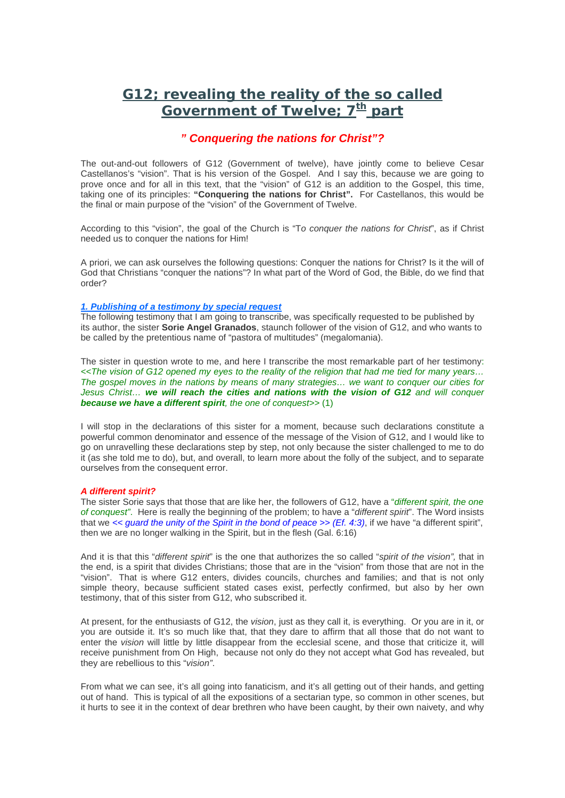### **G12; revealing the reality of the so called**  Government of Twelve: 7<sup>th</sup> part

### *" Conquering the nations for Christ"?*

The out-and-out followers of G12 (Government of twelve), have jointly come to believe Cesar Castellanos's "vision". That is his version of the Gospel. And I say this, because we are going to prove once and for all in this text, that the "vision" of G12 is an addition to the Gospel, this time, taking one of its principles: **"Conquering the nations for Christ".** For Castellanos, this would be the final or main purpose of the "vision" of the Government of Twelve.

According to this "vision", the goal of the Church is "T*o conquer the nations for Christ*", as if Christ needed us to conquer the nations for Him!

A priori, we can ask ourselves the following questions: Conquer the nations for Christ? Is it the will of God that Christians "conquer the nations"? In what part of the Word of God, the Bible, do we find that order?

### *1. Publishing of a testimony by special request*

The following testimony that I am going to transcribe, was specifically requested to be published by its author, the sister **Sorie Angel Granados**, staunch follower of the vision of G12, and who wants to be called by the pretentious name of "pastora of multitudes" (megalomania).

The sister in question wrote to me, and here I transcribe the most remarkable part of her testimony: *<<The vision of G12 opened my eyes to the reality of the religion that had me tied for many years… The gospel moves in the nations by means of many strategies… we want to conquer our cities for Jesus Christ… we will reach the cities and nations with the vision of G12 and will conquer because we have a different spirit, the one of conquest>>* (1)

I will stop in the declarations of this sister for a moment, because such declarations constitute a powerful common denominator and essence of the message of the Vision of G12, and I would like to go on unravelling these declarations step by step, not only because the sister challenged to me to do it (as she told me to do), but, and overall, to learn more about the folly of the subject, and to separate ourselves from the consequent error.

### *A different spirit?*

The sister Sorie says that those that are like her, the followers of G12, have a "*different spirit, the one of conquest"*. Here is really the beginning of the problem; to have a "*different spirit*". The Word insists that we *<< guard the unity of the Spirit in the bond of peace >> (Ef. 4:3)*, if we have "a different spirit", then we are no longer walking in the Spirit, but in the flesh (Gal. 6:16)

And it is that this "*different spirit*" is the one that authorizes the so called "*spirit of the vision",* that in the end, is a spirit that divides Christians; those that are in the "vision" from those that are not in the "vision". That is where G12 enters, divides councils, churches and families; and that is not only simple theory, because sufficient stated cases exist, perfectly confirmed, but also by her own testimony, that of this sister from G12, who subscribed it.

At present, for the enthusiasts of G12, the *vision*, just as they call it, is everything. Or you are in it, or you are outside it. It's so much like that, that they dare to affirm that all those that do not want to enter the *vision* will little by little disappear from the ecclesial scene, and those that criticize it, will receive punishment from On High, because not only do they not accept what God has revealed, but they are rebellious to this "*vision"*.

From what we can see, it's all going into fanaticism, and it's all getting out of their hands, and getting out of hand. This is typical of all the expositions of a sectarian type, so common in other scenes, but it hurts to see it in the context of dear brethren who have been caught, by their own naivety, and why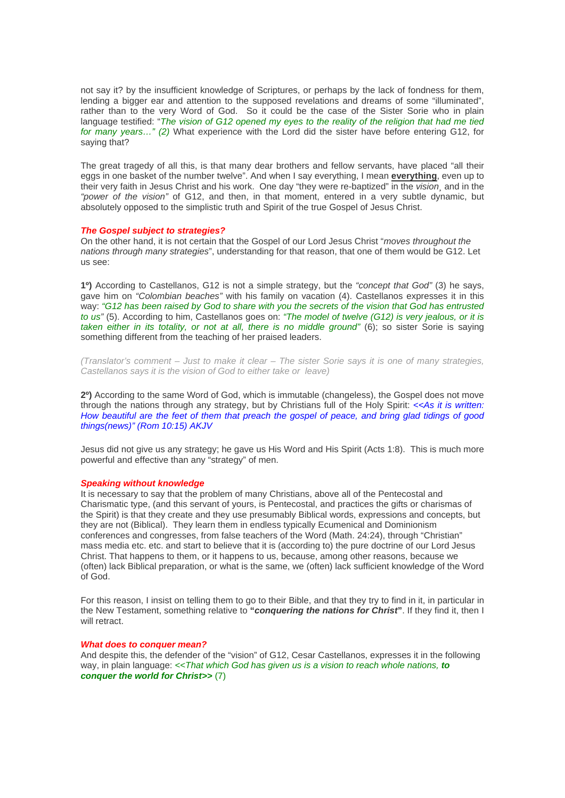not say it? by the insufficient knowledge of Scriptures, or perhaps by the lack of fondness for them, lending a bigger ear and attention to the supposed revelations and dreams of some "illuminated", rather than to the very Word of God. So it could be the case of the Sister Sorie who in plain language testified: "*The vision of G12 opened my eyes to the reality of the religion that had me tied for many years…" (2)* What experience with the Lord did the sister have before entering G12, for saying that?

The great tragedy of all this, is that many dear brothers and fellow servants, have placed "all their eggs in one basket of the number twelve". And when I say everything, I mean **everything**, even up to their very faith in Jesus Christ and his work. One day "they were re-baptized" in the *vision¸* and in the *"power of the vision"* of G12, and then, in that moment, entered in a very subtle dynamic, but absolutely opposed to the simplistic truth and Spirit of the true Gospel of Jesus Christ.

#### *The Gospel subject to strategies?*

On the other hand, it is not certain that the Gospel of our Lord Jesus Christ "*moves throughout the nations through many strategies*", understanding for that reason, that one of them would be G12. Let us see:

**1º)** According to Castellanos, G12 is not a simple strategy, but the *"concept that God"* (3) he says, gave him on *"Colombian beaches"* with his family on vacation (4). Castellanos expresses it in this way: *"G12 has been raised by God to share with you the secrets of the vision that God has entrusted to us"* (5). According to him, Castellanos goes on: *"The model of twelve (G12) is very jealous, or it is taken either in its totality, or not at all, there is no middle ground"* (6); so sister Sorie is saying something different from the teaching of her praised leaders.

*(Translator's comment – Just to make it clear – The sister Sorie says it is one of many strategies, Castellanos says it is the vision of God to either take or leave)* 

**2º)** According to the same Word of God, which is immutable (changeless), the Gospel does not move through the nations through any strategy, but by Christians full of the Holy Spirit: *<<As it is written: How beautiful are the feet of them that preach the gospel of peace, and bring glad tidings of good things(news)" (Rom 10:15) AKJV* 

Jesus did not give us any strategy; he gave us His Word and His Spirit (Acts 1:8). This is much more powerful and effective than any "strategy" of men.

#### *Speaking without knowledge*

It is necessary to say that the problem of many Christians, above all of the Pentecostal and Charismatic type, (and this servant of yours, is Pentecostal, and practices the gifts or charismas of the Spirit) is that they create and they use presumably Biblical words, expressions and concepts, but they are not (Biblical). They learn them in endless typically Ecumenical and Dominionism conferences and congresses, from false teachers of the Word (Math. 24:24), through "Christian" mass media etc. etc. and start to believe that it is (according to) the pure doctrine of our Lord Jesus Christ. That happens to them, or it happens to us, because, among other reasons, because we (often) lack Biblical preparation, or what is the same, we (often) lack sufficient knowledge of the Word of God.

For this reason, I insist on telling them to go to their Bible, and that they try to find in it, in particular in the New Testament, something relative to **"***conquering the nations for Christ***"**. If they find it, then I will retract.

#### *What does to conquer mean?*

And despite this, the defender of the "vision" of G12, Cesar Castellanos, expresses it in the following way, in plain language: *<<That which God has given us is a vision to reach whole nations, to conquer the world for Christ>>* (7)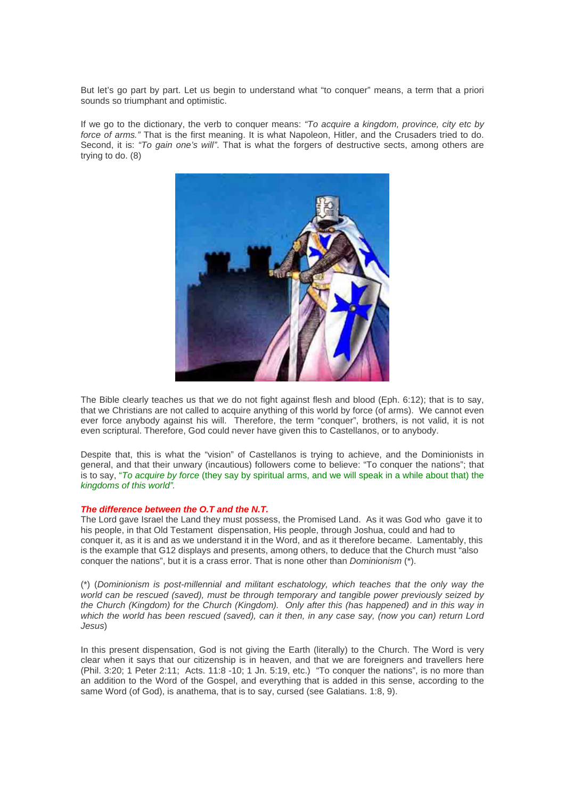But let's go part by part. Let us begin to understand what "to conquer" means, a term that a priori sounds so triumphant and optimistic.

If we go to the dictionary, the verb to conquer means: *"To acquire a kingdom, province, city etc by force of arms."* That is the first meaning. It is what Napoleon, Hitler, and the Crusaders tried to do. Second, it is: *"To gain one's will"*. That is what the forgers of destructive sects, among others are trying to do. (8)



The Bible clearly teaches us that we do not fight against flesh and blood (Eph. 6:12); that is to say, that we Christians are not called to acquire anything of this world by force (of arms). We cannot even ever force anybody against his will. Therefore, the term "conquer", brothers, is not valid, it is not even scriptural. Therefore, God could never have given this to Castellanos, or to anybody.

Despite that, this is what the "vision" of Castellanos is trying to achieve, and the Dominionists in general, and that their unwary (incautious) followers come to believe: "To conquer the nations"; that is to say, "*To acquire by force* (they say by spiritual arms, and we will speak in a while about that) the *kingdoms of this world".*

### *The difference between the O.T and the N.T.*

The Lord gave Israel the Land they must possess, the Promised Land. As it was God who gave it to his people, in that Old Testament dispensation, His people, through Joshua, could and had to conquer it, as it is and as we understand it in the Word, and as it therefore became. Lamentably, this is the example that G12 displays and presents, among others, to deduce that the Church must "also conquer the nations", but it is a crass error. That is none other than *Dominionism* (\*).

(\*) (*Dominionism is post-millennial and militant eschatology, which teaches that the only way the world can be rescued (saved), must be through temporary and tangible power previously seized by the Church (Kingdom) for the Church (Kingdom). Only after this (has happened) and in this way in which the world has been rescued (saved), can it then, in any case say, (now you can) return Lord Jesus*)

In this present dispensation. God is not giving the Earth (literally) to the Church. The Word is very clear when it says that our citizenship is in heaven, and that we are foreigners and travellers here (Phil. 3:20; 1 Peter 2:11; Acts. 11:8 -10; 1 Jn. 5:19, etc.) "To conquer the nations", is no more than an addition to the Word of the Gospel, and everything that is added in this sense, according to the same Word (of God), is anathema, that is to say, cursed (see Galatians. 1:8, 9).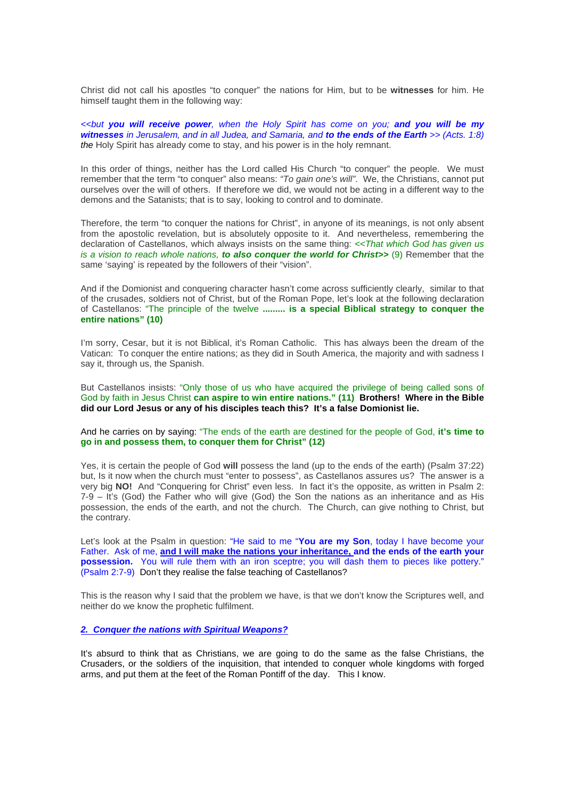Christ did not call his apostles "to conquer" the nations for Him, but to be **witnesses** for him. He himself taught them in the following way:

*<<but you will receive power, when the Holy Spirit has come on you; and you will be my witnesses in Jerusalem, and in all Judea, and Samaria, and to the ends of the Earth >> (Acts. 1:8) the* Holy Spirit has already come to stay, and his power is in the holy remnant.

In this order of things, neither has the Lord called His Church "to conquer" the people. We must remember that the term "to conquer" also means: *"To gain one's will"*. We, the Christians, cannot put ourselves over the will of others. If therefore we did, we would not be acting in a different way to the demons and the Satanists; that is to say, looking to control and to dominate.

Therefore, the term "to conquer the nations for Christ", in anyone of its meanings, is not only absent from the apostolic revelation, but is absolutely opposite to it. And nevertheless, remembering the declaration of Castellanos, which always insists on the same thing: *<<That which God has given us is a vision to reach whole nations, to also conquer the world for Christ>>* (9) Remember that the same 'saying' is repeated by the followers of their "vision".

And if the Domionist and conquering character hasn't come across sufficiently clearly, similar to that of the crusades, soldiers not of Christ, but of the Roman Pope, let's look at the following declaration of Castellanos: "The principle of the twelve **......... is a special Biblical strategy to conquer the entire nations" (10)** 

I'm sorry, Cesar, but it is not Biblical, it's Roman Catholic. This has always been the dream of the Vatican: To conquer the entire nations; as they did in South America, the majority and with sadness I say it, through us, the Spanish.

But Castellanos insists: "Only those of us who have acquired the privilege of being called sons of God by faith in Jesus Christ **can aspire to win entire nations." (11) Brothers! Where in the Bible did our Lord Jesus or any of his disciples teach this? It's a false Domionist lie.**

And he carries on by saying: "The ends of the earth are destined for the people of God, **it's time to go in and possess them, to conquer them for Christ" (12)** 

Yes, it is certain the people of God **will** possess the land (up to the ends of the earth) (Psalm 37:22) but, Is it now when the church must "enter to possess", as Castellanos assures us? The answer is a very big **NO!** And "Conquering for Christ" even less. In fact it's the opposite, as written in Psalm 2: 7-9 – It's (God) the Father who will give (God) the Son the nations as an inheritance and as His possession, the ends of the earth, and not the church. The Church, can give nothing to Christ, but the contrary.

Let's look at the Psalm in question: "He said to me "**You are my Son**, today I have become your Father. Ask of me, **and I will make the nations your inheritance, and the ends of the earth your possession.** You will rule them with an iron sceptre; you will dash them to pieces like pottery." (Psalm 2:7-9) Don't they realise the false teaching of Castellanos?

This is the reason why I said that the problem we have, is that we don't know the Scriptures well, and neither do we know the prophetic fulfilment.

*2. Conquer the nations with Spiritual Weapons?*

It's absurd to think that as Christians, we are going to do the same as the false Christians, the Crusaders, or the soldiers of the inquisition, that intended to conquer whole kingdoms with forged arms, and put them at the feet of the Roman Pontiff of the day. This I know.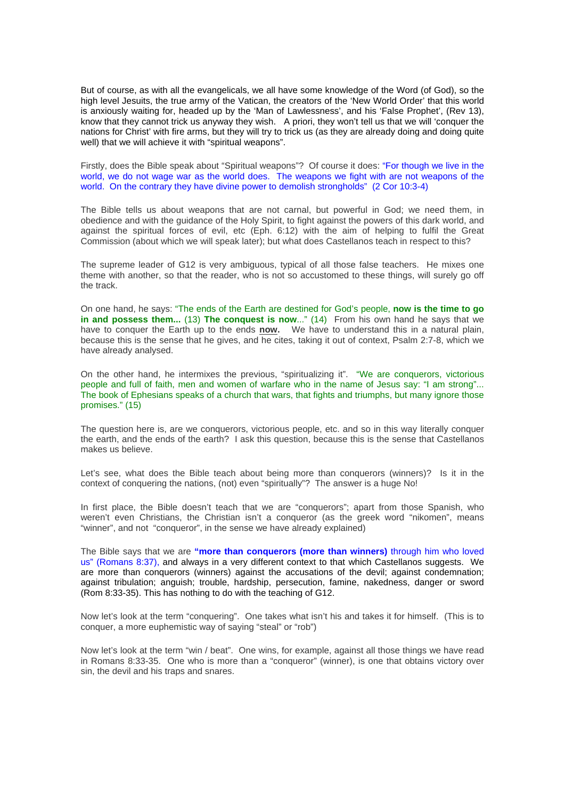But of course, as with all the evangelicals, we all have some knowledge of the Word (of God), so the high level Jesuits, the true army of the Vatican, the creators of the 'New World Order' that this world is anxiously waiting for, headed up by the 'Man of Lawlessness', and his 'False Prophet', (Rev 13), know that they cannot trick us anyway they wish. A priori, they won't tell us that we will 'conquer the nations for Christ' with fire arms, but they will try to trick us (as they are already doing and doing quite well) that we will achieve it with "spiritual weapons".

Firstly, does the Bible speak about "Spiritual weapons"? Of course it does: "For though we live in the world, we do not wage war as the world does. The weapons we fight with are not weapons of the world. On the contrary they have divine power to demolish strongholds" (2 Cor 10:3-4)

The Bible tells us about weapons that are not carnal, but powerful in God; we need them, in obedience and with the guidance of the Holy Spirit, to fight against the powers of this dark world, and against the spiritual forces of evil, etc (Eph. 6:12) with the aim of helping to fulfil the Great Commission (about which we will speak later); but what does Castellanos teach in respect to this?

The supreme leader of G12 is very ambiguous, typical of all those false teachers. He mixes one theme with another, so that the reader, who is not so accustomed to these things, will surely go off the track.

On one hand, he says: "The ends of the Earth are destined for God's people, **now is the time to go in and possess them...** (13) **The conquest is now**..." (14) From his own hand he says that we have to conquer the Earth up to the ends **now.** We have to understand this in a natural plain, because this is the sense that he gives, and he cites, taking it out of context, Psalm 2:7-8, which we have already analysed.

On the other hand, he intermixes the previous, "spiritualizing it". "We are conquerors, victorious people and full of faith, men and women of warfare who in the name of Jesus say: "I am strong"... The book of Ephesians speaks of a church that wars, that fights and triumphs, but many ignore those promises." (15)

The question here is, are we conquerors, victorious people, etc. and so in this way literally conquer the earth, and the ends of the earth? I ask this question, because this is the sense that Castellanos makes us believe.

Let's see, what does the Bible teach about being more than conquerors (winners)? Is it in the context of conquering the nations, (not) even "spiritually"? The answer is a huge No!

In first place, the Bible doesn't teach that we are "conquerors"; apart from those Spanish, who weren't even Christians, the Christian isn't a conqueror (as the greek word "nikomen", means "winner", and not "conqueror", in the sense we have already explained)

The Bible says that we are **"more than conquerors (more than winners)** through him who loved us" (Romans 8:37), and always in a very different context to that which Castellanos suggests. We are more than conquerors (winners) against the accusations of the devil; against condemnation; against tribulation; anguish; trouble, hardship, persecution, famine, nakedness, danger or sword (Rom 8:33-35). This has nothing to do with the teaching of G12.

Now let's look at the term "conquering". One takes what isn't his and takes it for himself. (This is to conquer, a more euphemistic way of saying "steal" or "rob")

Now let's look at the term "win / beat". One wins, for example, against all those things we have read in Romans 8:33-35. One who is more than a "conqueror" (winner), is one that obtains victory over sin, the devil and his traps and snares.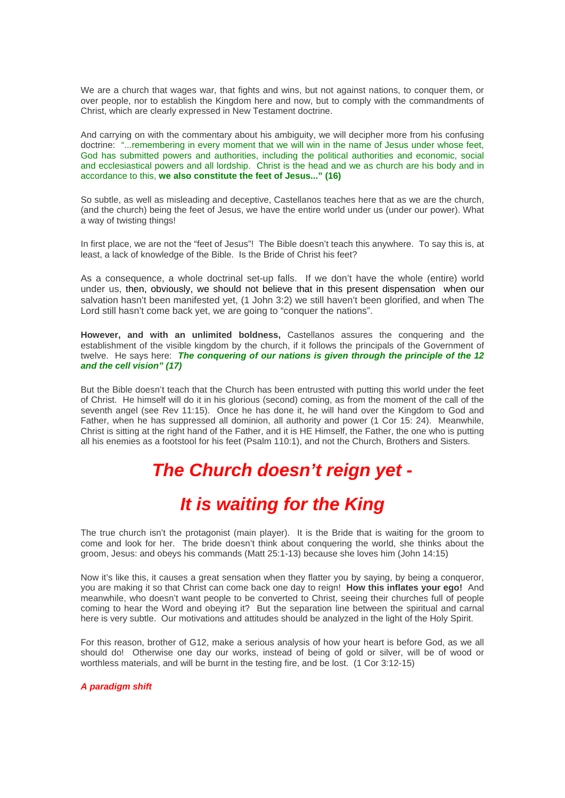We are a church that wages war, that fights and wins, but not against nations, to conquer them, or over people, nor to establish the Kingdom here and now, but to comply with the commandments of Christ, which are clearly expressed in New Testament doctrine.

And carrying on with the commentary about his ambiguity, we will decipher more from his confusing doctrine: "...remembering in every moment that we will win in the name of Jesus under whose feet, God has submitted powers and authorities, including the political authorities and economic, social and ecclesiastical powers and all lordship. Christ is the head and we as church are his body and in accordance to this, **we also constitute the feet of Jesus..." (16)**

So subtle, as well as misleading and deceptive, Castellanos teaches here that as we are the church, (and the church) being the feet of Jesus, we have the entire world under us (under our power). What a way of twisting things!

In first place, we are not the "feet of Jesus"! The Bible doesn't teach this anywhere. To say this is, at least, a lack of knowledge of the Bible. Is the Bride of Christ his feet?

As a consequence, a whole doctrinal set-up falls. If we don't have the whole (entire) world under us, then, obviously, we should not believe that in this present dispensation when our salvation hasn't been manifested yet, (1 John 3:2) we still haven't been glorified, and when The Lord still hasn't come back yet, we are going to "conquer the nations".

**However, and with an unlimited boldness,** Castellanos assures the conquering and the establishment of the visible kingdom by the church, if it follows the principals of the Government of twelve. He says here: *The conquering of our nations is given through the principle of the 12 and the cell vision" (17)* 

But the Bible doesn't teach that the Church has been entrusted with putting this world under the feet of Christ. He himself will do it in his glorious (second) coming, as from the moment of the call of the seventh angel (see Rev 11:15). Once he has done it, he will hand over the Kingdom to God and Father, when he has suppressed all dominion, all authority and power (1 Cor 15: 24). Meanwhile, Christ is sitting at the right hand of the Father, and it is HE Himself, the Father, the one who is putting all his enemies as a footstool for his feet (Psalm 110:1), and not the Church, Brothers and Sisters.

# *The Church doesn't reign yet -*

# *It is waiting for the King*

The true church isn't the protagonist (main player). It is the Bride that is waiting for the groom to come and look for her. The bride doesn't think about conquering the world, she thinks about the groom, Jesus: and obeys his commands (Matt 25:1-13) because she loves him (John 14:15)

Now it's like this, it causes a great sensation when they flatter you by saying, by being a conqueror, you are making it so that Christ can come back one day to reign! **How this inflates your ego!** And meanwhile, who doesn't want people to be converted to Christ, seeing their churches full of people coming to hear the Word and obeying it? But the separation line between the spiritual and carnal here is very subtle. Our motivations and attitudes should be analyzed in the light of the Holy Spirit.

For this reason, brother of G12, make a serious analysis of how your heart is before God, as we all should do! Otherwise one day our works, instead of being of gold or silver, will be of wood or worthless materials, and will be burnt in the testing fire, and be lost. (1 Cor 3:12-15)

*A paradigm shift*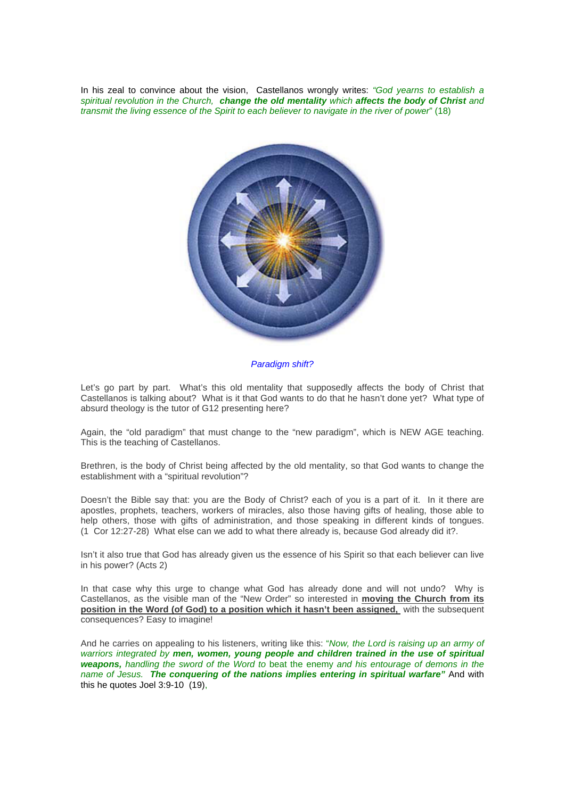In his zeal to convince about the vision, Castellanos wrongly writes: *"God yearns to establish a spiritual revolution in the Church, change the old mentality which affects the body of Christ and transmit the living essence of the Spirit to each believer to navigate in the river of power*" (18)



*Paradigm shift?* 

Let's go part by part. What's this old mentality that supposedly affects the body of Christ that Castellanos is talking about? What is it that God wants to do that he hasn't done yet? What type of absurd theology is the tutor of G12 presenting here?

Again, the "old paradigm" that must change to the "new paradigm", which is NEW AGE teaching. This is the teaching of Castellanos.

Brethren, is the body of Christ being affected by the old mentality, so that God wants to change the establishment with a "spiritual revolution"?

Doesn't the Bible say that: you are the Body of Christ? each of you is a part of it. In it there are apostles, prophets, teachers, workers of miracles, also those having gifts of healing, those able to help others, those with gifts of administration, and those speaking in different kinds of tongues. (1 Cor 12:27-28) What else can we add to what there already is, because God already did it?.

Isn't it also true that God has already given us the essence of his Spirit so that each believer can live in his power? (Acts 2)

In that case why this urge to change what God has already done and will not undo? Why is Castellanos, as the visible man of the "New Order" so interested in **moving the Church from its position in the Word (of God) to a position which it hasn't been assigned,** with the subsequent consequences? Easy to imagine!

And he carries on appealing to his listeners, writing like this: "*Now, the Lord is raising up an army of warriors integrated by men, women, young people and children trained in the use of spiritual weapons, handling the sword of the Word to* beat the enemy *and his entourage of demons in the name of Jesus. The conquering of the nations implies entering in spiritual warfare"* And with this he quotes Joel 3:9-10 (19),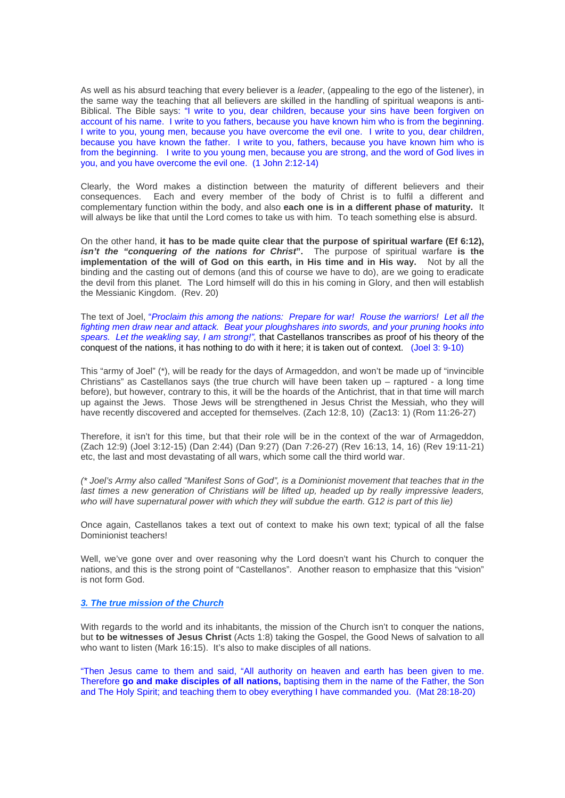As well as his absurd teaching that every believer is a *leader*, (appealing to the ego of the listener), in the same way the teaching that all believers are skilled in the handling of spiritual weapons is anti-Biblical. The Bible says: "I write to you, dear children, because your sins have been forgiven on account of his name. I write to you fathers, because you have known him who is from the beginning. I write to you, young men, because you have overcome the evil one. I write to you, dear children, because you have known the father. I write to you, fathers, because you have known him who is from the beginning. I write to you young men, because you are strong, and the word of God lives in you, and you have overcome the evil one. (1 John 2:12-14)

Clearly, the Word makes a distinction between the maturity of different believers and their consequences. Each and every member of the body of Christ is to fulfil a different and complementary function within the body, and also **each one is in a different phase of maturity.** It will always be like that until the Lord comes to take us with him. To teach something else is absurd.

On the other hand, **it has to be made quite clear that the purpose of spiritual warfare (Ef 6:12),**  *isn't the "conquering of the nations for Christ***".** The purpose of spiritual warfare **is the implementation of the will of God on this earth, in His time and in His way.** Not by all the binding and the casting out of demons (and this of course we have to do), are we going to eradicate the devil from this planet. The Lord himself will do this in his coming in Glory, and then will establish the Messianic Kingdom. (Rev. 20)

The text of Joel, "*Proclaim this among the nations: Prepare for war! Rouse the warriors! Let all the fighting men draw near and attack. Beat your ploughshares into swords, and your pruning hooks into spears. Let the weakling say, I am strong!",* that Castellanos transcribes as proof of his theory of the conquest of the nations, it has nothing to do with it here; it is taken out of context. (Joel 3: 9-10)

This "army of Joel" (\*), will be ready for the days of Armageddon, and won't be made up of "invincible Christians" as Castellanos says (the true church will have been taken up – raptured - a long time before), but however, contrary to this, it will be the hoards of the Antichrist, that in that time will march up against the Jews. Those Jews will be strengthened in Jesus Christ the Messiah, who they will have recently discovered and accepted for themselves. (Zach 12:8, 10) (Zac13: 1) (Rom 11:26-27)

Therefore, it isn't for this time, but that their role will be in the context of the war of Armageddon, (Zach 12:9) (Joel 3:12-15) (Dan 2:44) (Dan 9:27) (Dan 7:26-27) (Rev 16:13, 14, 16) (Rev 19:11-21) etc, the last and most devastating of all wars, which some call the third world war.

*(\* Joel's Army also called "Manifest Sons of God", is a Dominionist movement that teaches that in the last times a new generation of Christians will be lifted up, headed up by really impressive leaders,*  who will have supernatural power with which they will subdue the earth. G12 is part of this lie)

Once again, Castellanos takes a text out of context to make his own text; typical of all the false Dominionist teachers!

Well, we've gone over and over reasoning why the Lord doesn't want his Church to conquer the nations, and this is the strong point of "Castellanos". Another reason to emphasize that this "vision" is not form God.

### *3. The true mission of the Church*

With regards to the world and its inhabitants, the mission of the Church isn't to conquer the nations, but **to be witnesses of Jesus Christ** (Acts 1:8) taking the Gospel, the Good News of salvation to all who want to listen (Mark 16:15). It's also to make disciples of all nations.

"Then Jesus came to them and said, "All authority on heaven and earth has been given to me. Therefore **go and make disciples of all nations,** baptising them in the name of the Father, the Son and The Holy Spirit; and teaching them to obey everything I have commanded you. (Mat 28:18-20)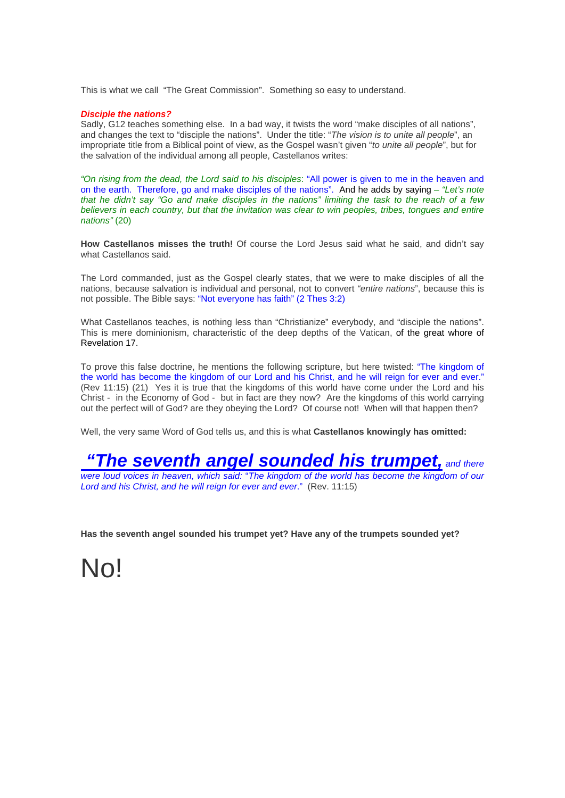This is what we call "The Great Commission". Something so easy to understand.

### *Disciple the nations?*

Sadly, G12 teaches something else. In a bad way, it twists the word "make disciples of all nations", and changes the text to "disciple the nations". Under the title: "*The vision is to unite all people*", an impropriate title from a Biblical point of view, as the Gospel wasn't given "*to unite all people*", but for the salvation of the individual among all people, Castellanos writes:

*"On rising from the dead, the Lord said to his disciples*: "All power is given to me in the heaven and on the earth. Therefore, go and make disciples of the nations". And he adds by saying – *"Let's note that he didn't say "Go and make disciples in the nations" limiting the task to the reach of a few believers in each country, but that the invitation was clear to win peoples, tribes, tongues and entire nations"* (20)

**How Castellanos misses the truth!** Of course the Lord Jesus said what he said, and didn't say what Castellanos said.

The Lord commanded, just as the Gospel clearly states, that we were to make disciples of all the nations, because salvation is individual and personal, not to convert *"entire nations*", because this is not possible. The Bible says: "Not everyone has faith" (2 Thes 3:2)

What Castellanos teaches, is nothing less than "Christianize" everybody, and "disciple the nations". This is mere dominionism, characteristic of the deep depths of the Vatican, of the great whore of Revelation 17.

To prove this false doctrine, he mentions the following scripture, but here twisted: "The kingdom of the world has become the kingdom of our Lord and his Christ, and he will reign for ever and ever." (Rev 11:15) (21) Yes it is true that the kingdoms of this world have come under the Lord and his Christ - in the Economy of God - but in fact are they now? Are the kingdoms of this world carrying out the perfect will of God? are they obeying the Lord? Of course not! When will that happen then?

Well, the very same Word of God tells us, and this is what **Castellanos knowingly has omitted:** 

### *"The seventh angel sounded his trumpet, and there*

*were loud voices in heaven, which said:* "*The kingdom of the world has become the kingdom of our Lord and his Christ, and he will reign for ever and ever*." (Rev. 11:15)

**Has the seventh angel sounded his trumpet yet? Have any of the trumpets sounded yet?** 

No!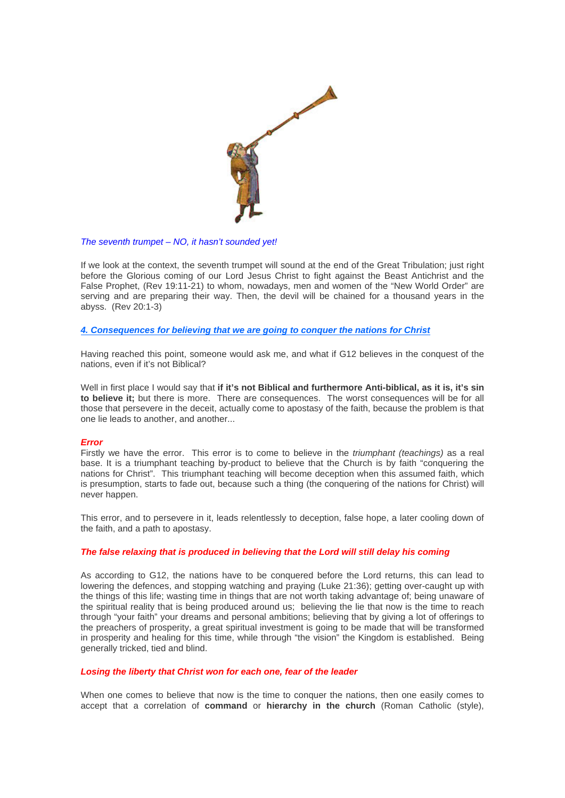

### *The seventh trumpet – NO, it hasn't sounded yet!*

If we look at the context, the seventh trumpet will sound at the end of the Great Tribulation; just right before the Glorious coming of our Lord Jesus Christ to fight against the Beast Antichrist and the False Prophet, (Rev 19:11-21) to whom, nowadays, men and women of the "New World Order" are serving and are preparing their way. Then, the devil will be chained for a thousand years in the abyss. (Rev 20:1-3)

*4. Consequences for believing that we are going to conquer the nations for Christ*

Having reached this point, someone would ask me, and what if G12 believes in the conquest of the nations, even if it's not Biblical?

Well in first place I would say that **if it's not Biblical and furthermore Anti-biblical, as it is, it's sin to believe it;** but there is more. There are consequences. The worst consequences will be for all those that persevere in the deceit, actually come to apostasy of the faith, because the problem is that one lie leads to another, and another...

### *Error*

Firstly we have the error. This error is to come to believe in the *triumphant (teachings)* as a real base. It is a triumphant teaching by-product to believe that the Church is by faith "conquering the nations for Christ". This triumphant teaching will become deception when this assumed faith, which is presumption, starts to fade out, because such a thing (the conquering of the nations for Christ) will never happen.

This error, and to persevere in it, leads relentlessly to deception, false hope, a later cooling down of the faith, and a path to apostasy.

### *The false relaxing that is produced in believing that the Lord will still delay his coming*

As according to G12, the nations have to be conquered before the Lord returns, this can lead to lowering the defences, and stopping watching and praying (Luke 21:36); getting over-caught up with the things of this life; wasting time in things that are not worth taking advantage of; being unaware of the spiritual reality that is being produced around us; believing the lie that now is the time to reach through "your faith" your dreams and personal ambitions; believing that by giving a lot of offerings to the preachers of prosperity, a great spiritual investment is going to be made that will be transformed in prosperity and healing for this time, while through "the vision" the Kingdom is established. Being generally tricked, tied and blind.

### *Losing the liberty that Christ won for each one, fear of the leader*

When one comes to believe that now is the time to conquer the nations, then one easily comes to accept that a correlation of **command** or **hierarchy in the church** (Roman Catholic (style),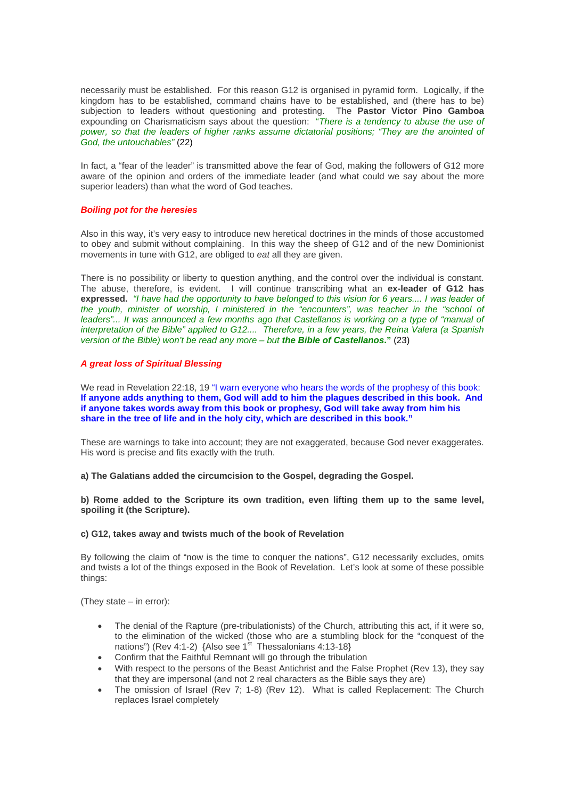necessarily must be established. For this reason G12 is organised in pyramid form. Logically, if the kingdom has to be established, command chains have to be established, and (there has to be) subjection to leaders without questioning and protesting. The **Pastor Victor Pino Gamboa**  expounding on Charismaticism says about the question: "*There is a tendency to abuse the use of*  power, so that the leaders of higher ranks assume dictatorial positions; "They are the anointed of *God, the untouchables"* (22)

In fact, a "fear of the leader" is transmitted above the fear of God, making the followers of G12 more aware of the opinion and orders of the immediate leader (and what could we say about the more superior leaders) than what the word of God teaches.

### *Boiling pot for the heresies*

Also in this way, it's very easy to introduce new heretical doctrines in the minds of those accustomed to obey and submit without complaining. In this way the sheep of G12 and of the new Dominionist movements in tune with G12, are obliged to *eat* all they are given.

There is no possibility or liberty to question anything, and the control over the individual is constant. The abuse, therefore, is evident. I will continue transcribing what an **ex-leader of G12 has expressed.** *"I have had the opportunity to have belonged to this vision for 6 years.... I was leader of the youth, minister of worship, I ministered in the "encounters", was teacher in the "school of*  leaders"... It was announced a few months ago that Castellanos is working on a type of "manual of *interpretation of the Bible" applied to G12.... Therefore, in a few years, the Reina Valera (a Spanish version of the Bible) won't be read any more – but the Bible of Castellanos***."** (23)

### *A great loss of Spiritual Blessing*

We read in Revelation 22:18, 19 "I warn everyone who hears the words of the prophesy of this book: **If anyone adds anything to them, God will add to him the plagues described in this book. And if anyone takes words away from this book or prophesy, God will take away from him his share in the tree of life and in the holy city, which are described in this book."** 

These are warnings to take into account; they are not exaggerated, because God never exaggerates. His word is precise and fits exactly with the truth.

**a) The Galatians added the circumcision to the Gospel, degrading the Gospel.** 

**b) Rome added to the Scripture its own tradition, even lifting them up to the same level, spoiling it (the Scripture).** 

### **c) G12, takes away and twists much of the book of Revelation**

By following the claim of "now is the time to conquer the nations", G12 necessarily excludes, omits and twists a lot of the things exposed in the Book of Revelation. Let's look at some of these possible things:

(They state – in error):

- The denial of the Rapture (pre-tribulationists) of the Church, attributing this act, if it were so, to the elimination of the wicked (those who are a stumbling block for the "conquest of the nations") (Rev 4:1-2)  $\{Also see 1<sup>st</sup> Thessalonians 4:13-18\}$
- Confirm that the Faithful Remnant will go through the tribulation
- With respect to the persons of the Beast Antichrist and the False Prophet (Rev 13), they say that they are impersonal (and not 2 real characters as the Bible says they are)
- The omission of Israel (Rev 7; 1-8) (Rev 12). What is called Replacement: The Church replaces Israel completely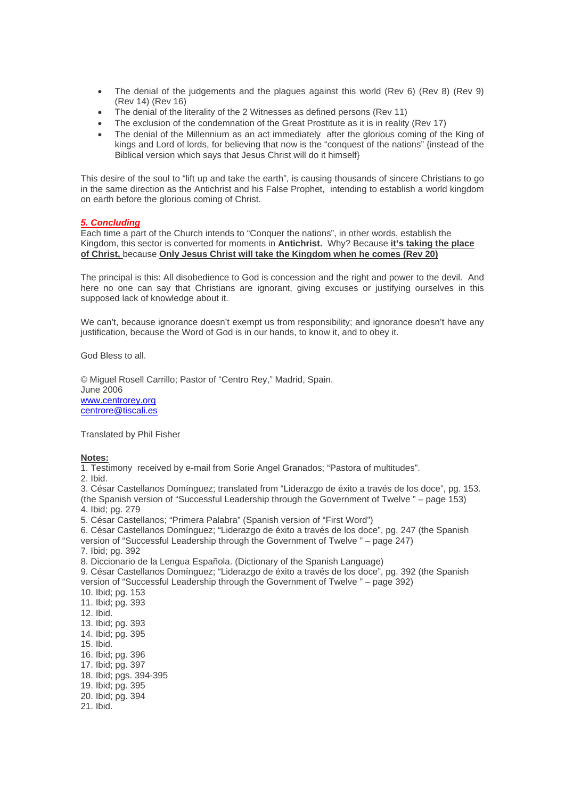- The denial of the judgements and the plagues against this world (Rev 6) (Rev 8) (Rev 9) (Rev 14) (Rev 16)
- The denial of the literality of the 2 Witnesses as defined persons (Rev 11)
- The exclusion of the condemnation of the Great Prostitute as it is in reality (Rev 17)
- The denial of the Millennium as an act immediately after the glorious coming of the King of kings and Lord of lords, for believing that now is the "conquest of the nations" {instead of the Biblical version which says that Jesus Christ will do it himself}

This desire of the soul to "lift up and take the earth", is causing thousands of sincere Christians to go in the same direction as the Antichrist and his False Prophet, intending to establish a world kingdom on earth before the glorious coming of Christ.

### *5. Concluding*

Each time a part of the Church intends to "Conquer the nations", in other words, establish the Kingdom, this sector is converted for moments in **Antichrist.** Why? Because **it's taking the place of Christ,** because **Only Jesus Christ will take the Kingdom when he comes (Rev 20)**

The principal is this: All disobedience to God is concession and the right and power to the devil. And here no one can say that Christians are ignorant, giving excuses or justifying ourselves in this supposed lack of knowledge about it.

We can't, because ignorance doesn't exempt us from responsibility; and ignorance doesn't have any justification, because the Word of God is in our hands, to know it, and to obey it.

God Bless to all.

© Miguel Rosell Carrillo; Pastor of "Centro Rey," Madrid, Spain. June 2006 [www.centrorey.org](http://66.249.93.104/translate_c?hl=es&ie=UTF-8&oe=UTF-8&langpair=es%7Cen&u=http://www.centrorey.org/&prev=/language_tools) [centrore@tiscali.es](mailto:centrore@tiscali.es)

Translated by Phil Fisher

### **Notes:**

1. Testimony received by e-mail from Sorie Angel Granados; "Pastora of multitudes".

2. Ibid.

3. César Castellanos Domínguez; translated from "Liderazgo de éxito a través de los doce", pg. 153. (the Spanish version of "Successful Leadership through the Government of Twelve " – page 153) 4. Ibid; pg. 279

5. César Castellanos; "Primera Palabra" (Spanish version of "First Word")

6. César Castellanos Domínguez; "Liderazgo de éxito a través de los doce", pg. 247 (the Spanish version of "Successful Leadership through the Government of Twelve " – page 247)

7. Ibid; pg. 392

8. Diccionario de la Lengua Española. (Dictionary of the Spanish Language)

9. César Castellanos Domínguez; "Liderazgo de éxito a través de los doce", pg. 392 (the Spanish version of "Successful Leadership through the Government of Twelve " – page 392)

10. Ibid; pg. 153 11. Ibid; pg. 393 12. Ibid. 13. Ibid; pg. 393 14. Ibid; pg. 395 15. Ibid. 16. Ibid; pg. 396 17. Ibid; pg. 397 18. Ibid; pgs. 394-395 19. Ibid; pg. 395

20. Ibid; pg. 394

21. Ibid.